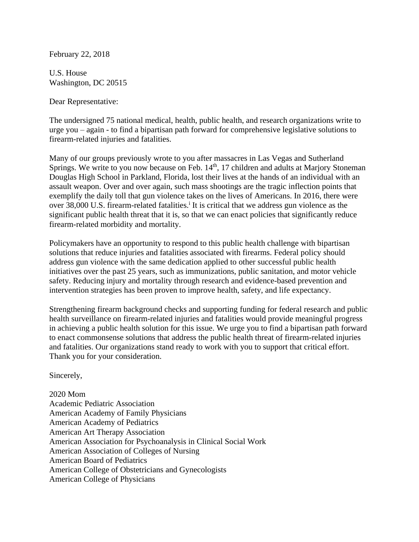February 22, 2018

U.S. House Washington, DC 20515

Dear Representative:

The undersigned 75 national medical, health, public health, and research organizations write to urge you – again - to find a bipartisan path forward for comprehensive legislative solutions to firearm-related injuries and fatalities.

Many of our groups previously wrote to you after massacres in Las Vegas and Sutherland Springs. We write to you now because on Feb. 14<sup>th</sup>, 17 children and adults at Marjory Stoneman Douglas High School in Parkland, Florida, lost their lives at the hands of an individual with an assault weapon. Over and over again, such mass shootings are the tragic inflection points that exemplify the daily toll that gun violence takes on the lives of Americans. In 2016, there were over 38,000 U.S. firearm-related fatalities.<sup>i</sup> It is critical that we address gun violence as the significant public health threat that it is, so that we can enact policies that significantly reduce firearm-related morbidity and mortality.

Policymakers have an opportunity to respond to this public health challenge with bipartisan solutions that reduce injuries and fatalities associated with firearms. Federal policy should address gun violence with the same dedication applied to other successful public health initiatives over the past 25 years, such as immunizations, public sanitation, and motor vehicle safety. Reducing injury and mortality through research and evidence-based prevention and intervention strategies has been proven to improve health, safety, and life expectancy.

Strengthening firearm background checks and supporting funding for federal research and public health surveillance on firearm-related injuries and fatalities would provide meaningful progress in achieving a public health solution for this issue. We urge you to find a bipartisan path forward to enact commonsense solutions that address the public health threat of firearm-related injuries and fatalities. Our organizations stand ready to work with you to support that critical effort. Thank you for your consideration.

Sincerely,

2020 Mom Academic Pediatric Association American Academy of Family Physicians American Academy of Pediatrics American Art Therapy Association American Association for Psychoanalysis in Clinical Social Work American Association of Colleges of Nursing American Board of Pediatrics American College of Obstetricians and Gynecologists American College of Physicians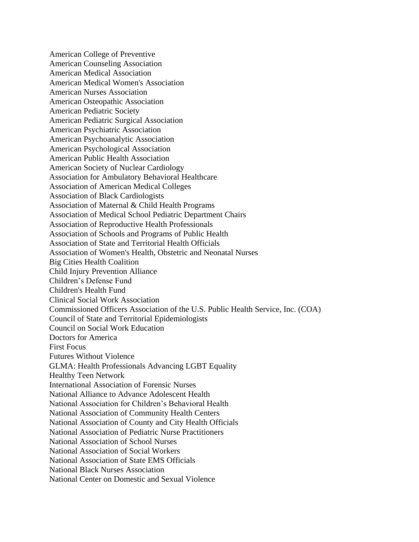American College of Preventive American Counseling Association American Medical Association American Medical Women's Association American Nurses Association American Osteopathic Association American Pediatric Society American Pediatric Surgical Association American Psychiatric Association American Psychoanalytic Association American Psychological Association American Public Health Association American Society of Nuclear Cardiology Association for Ambulatory Behavioral Healthcare Association of American Medical Colleges Association of Black Cardiologists Association of Maternal & Child Health Programs Association of Medical School Pediatric Department Chairs Association of Reproductive Health Professionals Association of Schools and Programs of Public Health Association of State and Territorial Health Officials Association of Women's Health, Obstetric and Neonatal Nurses Big Cities Health Coalition Child Injury Prevention Alliance Children's Defense Fund Children's Health Fund Clinical Social Work Association Commissioned Officers Association of the U.S. Public Health Service, Inc. (COA) Council of State and Territorial Epidemiologists Council on Social Work Education Doctors for America First Focus Futures Without Violence GLMA: Health Professionals Advancing LGBT Equality Healthy Teen Network International Association of Forensic Nurses National Alliance to Advance Adolescent Health National Association for Children's Behavioral Health National Association of Community Health Centers National Association of County and City Health Officials National Association of Pediatric Nurse Practitioners National Association of School Nurses National Association of Social Workers National Association of State EMS Officials National Black Nurses Association National Center on Domestic and Sexual Violence